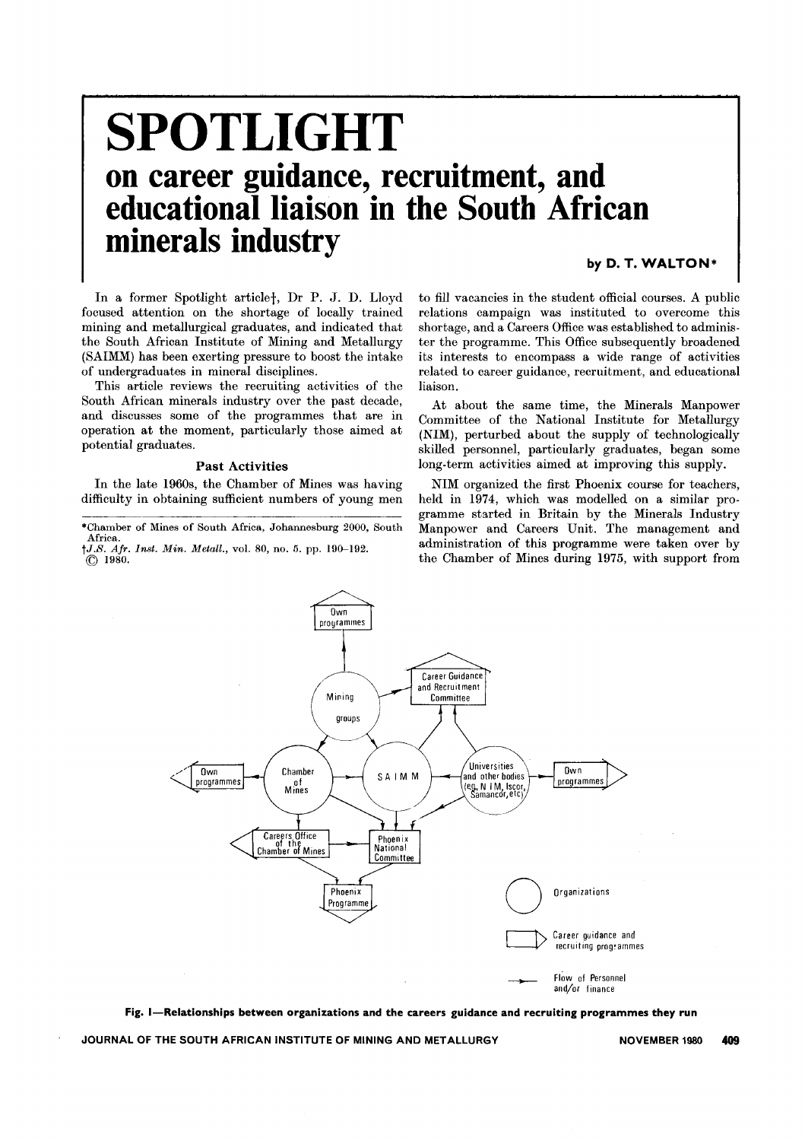# **SPOTLI G HT on career guidance, recruitment, and** educational liaison **in the South African minerals industry**

# by D. T. WALTON\*

In a former Spotlight articlet, Dr P. J. D. Lloyd focused attention on the shortage of locally trained mining and metallurgical graduates, and indicated that the South African Institute of Mining and Metallurgy (SAIMM) has been exerting pressure to boost the intake of undergraduates in mineral disciplines.

This article reviews the recruiting activities of the South African minerals industry over the past decade, and discusses some of the programmes that are in operation at the moment, particularly those aimed at potential graduates.

#### Past Activities

In the late 1960s, the Chamber of Mines was having difficulty in obtaining sufficient numbers of young men

\*Chamber of Mines of South Africa, Johannesburg 2000, South Africa. *tJ.S. Afr. Inst. Min. Metall.,* vol. 80, no. 5. pp. 190-192.

(Q 1980.

to fill vacancies in the student official courses. A public relations campaign was instituted to overcome this shortage, and a Careers Office was established to administer the programme. This Office subsequently broadened its interests to encompass a wide range of activities related to career guidance, recruitment, and educational liaison.

At about the same time, the Minerals Manpower Committee of the National Institute for Metallurgy (NIM), perturbed about the supply of technologically skilled personnel, particularly graduates, began some long-term activities aimed at improving this supply.

NIM organized the first Phoenix course for teachers, held in 1974, which was modelled on a similar programme started in Britain by the Minerals Industry Manpower and Careers Unit. The management and administration of this programme were taken over by the Chamber of Mines during 1975, with support from



Fig. I-Relationships between organizations and the careers guidance and recruiting programmes they run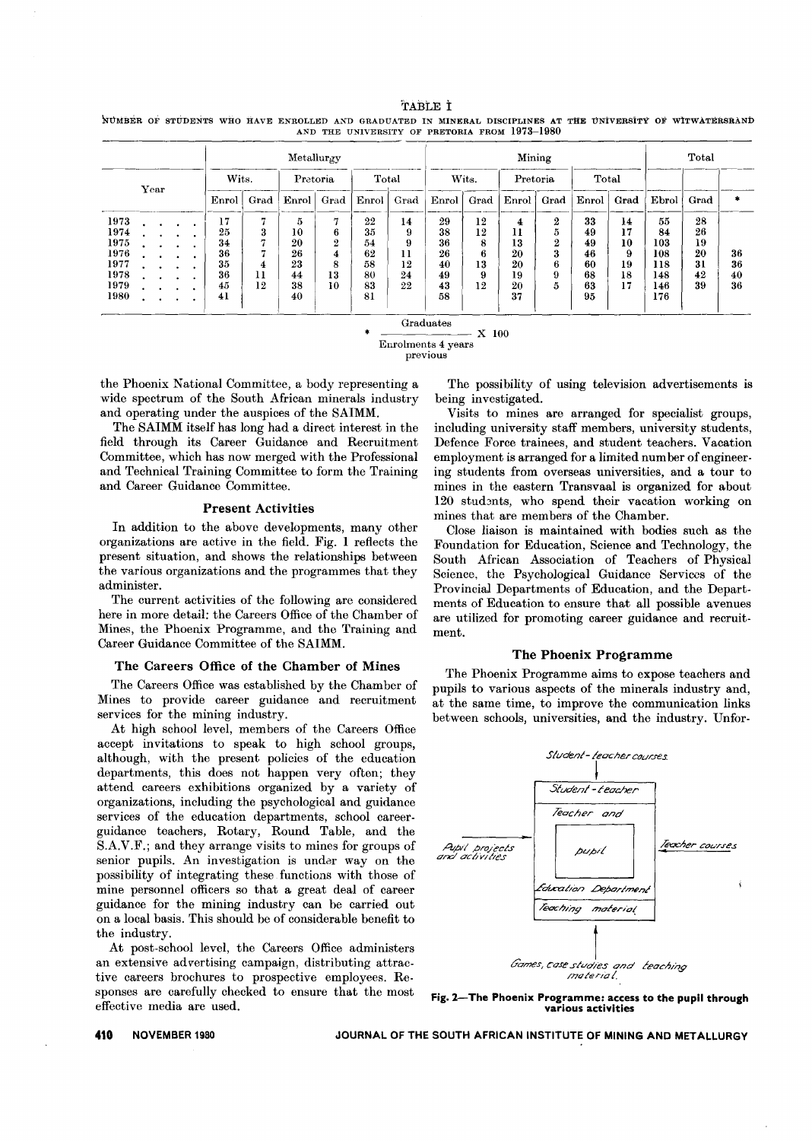TABLE t '!HJMBEROF STUDENTS WHO HAVE ENROLLED AND GRADUATED IN MINERAL DISCIPLINES AT THE UNiVERSiTY OF wITWATERSRAND AND THE UNIVERSITY OF PRETORIA FROM 1973-1980

|      |      |  |  |  |       |       | Metallurgy |           |       |      | Mining |                |          |                  |       |      | Total   |      |    |
|------|------|--|--|--|-------|-------|------------|-----------|-------|------|--------|----------------|----------|------------------|-------|------|---------|------|----|
|      | Year |  |  |  |       | Wits. | Pretoria   |           | Total |      | Wits.  |                | Pretoria |                  | Total |      |         |      |    |
|      |      |  |  |  | Enrol | Grad  | Enrol      | Grad      | Enrol | Grad | Enrol  | Grad           | Enrol    | Grad             | Enrol | Grad | Ebrol   | Grad |    |
| 1973 |      |  |  |  | 17    | π     | 5          | Ħ         | 22    | 14   | 29     | 12             | 4        | $\boldsymbol{2}$ | 33    | 14   | 55      | 28   |    |
| 1974 |      |  |  |  | 25    | 3     | 10         | 6         | 35    |      | 38     | 12             | 11       | 5.               | 49    | 17   | 84      | 26   |    |
| 1975 |      |  |  |  | 34    | n     | 20         | $\bullet$ | 54    | 9    | 36     | 8              | 13       | $\overline{2}$   | 49    | 10   | 103     | 19   |    |
| 1976 |      |  |  |  | 36    | π     | 26         | 4         | 62    | п    | 26     | $\bullet$<br>6 | 20       | 3                | 46    | 9    | $108\,$ | 20   | 36 |
| 1977 |      |  |  |  | 35    | 4     | 23         | 8         | 58    | 12   | 40     | 13             | 20       | 6                | 60    | 19   | 118     | 31   | 36 |
| 1978 |      |  |  |  | 36    | 11    | 44         | 13        | 80    | 24   | 49     | 9              | 19       | 9                | 68    | 18   | 148     | 42   | 40 |
| 1979 |      |  |  |  | 45    | 12    | 38         | 10        | 83    | 22   | 43     | 12             | 20       | 5                | 63    | 17   | 146     | 39   | 36 |
| 1980 |      |  |  |  | 41    |       | 40         |           | 81    |      | 58     |                | 37       |                  | 95    |      | 176     |      |    |

Graduates

\*

X 100

previous

the Phoenix National Committee, a body representing a wide spectrum of the South African minerals industry and operating under the auspices of the SAIMM.

The SAIMM itself has long had a direct interest in the field through its Career Guidance and Recruitment Committee, which has now merged with the Professional and Technical Training Committee to form the Training and Career Guidance Committee.

#### Present Activities

In addition to the above developments, many other organizations are active in the field. Fig. 1 reflects the present situation, and shows the relationships between the various organizations and the programmes that they administer.

The current activities of the following are considered here in more detail: the Careers Office of the Chamber of Mines, the Phoenix Programme, and the Training and Career Guidance Committee of the SAIMM.

## The Careers Office of the Chamber of Mines

The Careers Office was established by the Chamber of Mines to provide career guidance and recruitment services for the mining industry.

At high school level, members of the Careers Office accept invitations to speak to high school groups, although, with the present policies of the education departments, this does not happen very often; they attend careers exhibitions organized by a variety of organizations, including the psychological and guidance services of the education departments, school careerguidance teachers, Rotary, Round Table, and the S.A.V.F.; and they arrange visits to mines for groups of senior pupils. An investigation is under way on the possibility of integrating these functions with those of mine personnel officers so that a great deal of career guidance for the mining industry can be carried out on a local basis. This should be of considerable benefit to the industry.

At post-school level, the Careers Office administers an extensive advertising campaign, distributing attractive careers brochures to prospective employees. Responses are carefully checked to ensure that the most effective media are used.

The possibility of using television advertisements is being investigated.

Visits to mines are arranged for specialist groups, including university staff members, university students, Defence Force trainees, and student teachers. Vacation employment is arranged for a limited number of engineering students from overseas universities, and a tour to mines in the eastern Transvaal is organized for about 120 students, who spend their vacation working on mines that are members of the Chamber.

Close liaison is maintained with bodies such as the Foundation for Education, Science and Technology, the South African Association of Teachers of Physical Science, the Psychological Guidance Services of the Provincial Departments of Education, and the Departments of Education to ensure that all possible avenues are utilized for promoting career guidance and recruitment.

### The Phoenix Programme

The Phoenix Programme aims to expose teachers and pupils to various aspects of the minerals industry and, at the same time, to improve the communication links between schools, universities, and the industry. Unfor-



Fig. 2-The Phoenix Programme: access to the pupil through various activities

Enrolments 4 years